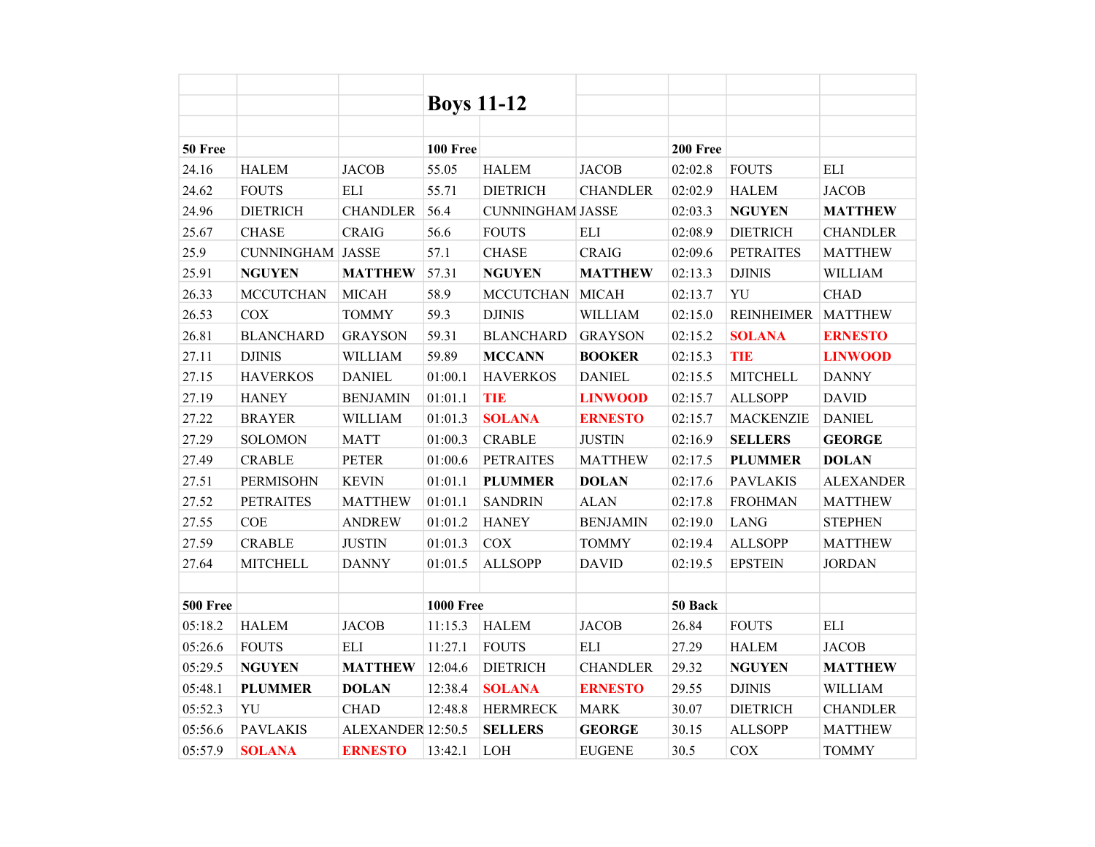|                 |                         |                   | <b>Boys 11-12</b> |                         |                 |          |                   |                  |
|-----------------|-------------------------|-------------------|-------------------|-------------------------|-----------------|----------|-------------------|------------------|
|                 |                         |                   |                   |                         |                 |          |                   |                  |
| 50 Free         |                         |                   | <b>100 Free</b>   |                         |                 | 200 Free |                   |                  |
| 24.16           | <b>HALEM</b>            | <b>JACOB</b>      | 55.05             | <b>HALEM</b>            | <b>JACOB</b>    | 02:02.8  | <b>FOUTS</b>      | <b>ELI</b>       |
| 24.62           | <b>FOUTS</b>            | <b>ELI</b>        | 55.71             | <b>DIETRICH</b>         | <b>CHANDLER</b> | 02:02.9  | <b>HALEM</b>      | <b>JACOB</b>     |
| 24.96           | <b>DIETRICH</b>         | <b>CHANDLER</b>   | 56.4              | <b>CUNNINGHAM JASSE</b> |                 | 02:03.3  | <b>NGUYEN</b>     | <b>MATTHEW</b>   |
| 25.67           | <b>CHASE</b>            | <b>CRAIG</b>      | 56.6              | <b>FOUTS</b>            | <b>ELI</b>      | 02:08.9  | <b>DIETRICH</b>   | <b>CHANDLER</b>  |
| 25.9            | <b>CUNNINGHAM JASSE</b> |                   | 57.1              | <b>CHASE</b>            | <b>CRAIG</b>    | 02:09.6  | <b>PETRAITES</b>  | <b>MATTHEW</b>   |
| 25.91           | <b>NGUYEN</b>           | <b>MATTHEW</b>    | 57.31             | <b>NGUYEN</b>           | <b>MATTHEW</b>  | 02:13.3  | <b>DJINIS</b>     | <b>WILLIAM</b>   |
| 26.33           | <b>MCCUTCHAN</b>        | <b>MICAH</b>      | 58.9              | <b>MCCUTCHAN</b>        | <b>MICAH</b>    | 02:13.7  | YU                | <b>CHAD</b>      |
| 26.53           | <b>COX</b>              | <b>TOMMY</b>      | 59.3              | <b>DJINIS</b>           | WILLIAM         | 02:15.0  | <b>REINHEIMER</b> | <b>MATTHEW</b>   |
| 26.81           | <b>BLANCHARD</b>        | <b>GRAYSON</b>    | 59.31             | <b>BLANCHARD</b>        | <b>GRAYSON</b>  | 02:15.2  | <b>SOLANA</b>     | <b>ERNESTO</b>   |
| 27.11           | <b>DJINIS</b>           | <b>WILLIAM</b>    | 59.89             | <b>MCCANN</b>           | <b>BOOKER</b>   | 02:15.3  | <b>TIE</b>        | <b>LINWOOD</b>   |
| 27.15           | <b>HAVERKOS</b>         | <b>DANIEL</b>     | 01:00.1           | <b>HAVERKOS</b>         | <b>DANIEL</b>   | 02:15.5  | <b>MITCHELL</b>   | <b>DANNY</b>     |
| 27.19           | <b>HANEY</b>            | <b>BENJAMIN</b>   | 01:01.1           | <b>TIE</b>              | <b>LINWOOD</b>  | 02:15.7  | <b>ALLSOPP</b>    | <b>DAVID</b>     |
| 27.22           | <b>BRAYER</b>           | <b>WILLIAM</b>    | 01:01.3           | <b>SOLANA</b>           | <b>ERNESTO</b>  | 02:15.7  | <b>MACKENZIE</b>  | <b>DANIEL</b>    |
| 27.29           | <b>SOLOMON</b>          | <b>MATT</b>       | 01:00.3           | <b>CRABLE</b>           | <b>JUSTIN</b>   | 02:16.9  | <b>SELLERS</b>    | <b>GEORGE</b>    |
| 27.49           | <b>CRABLE</b>           | <b>PETER</b>      | 01:00.6           | <b>PETRAITES</b>        | <b>MATTHEW</b>  | 02:17.5  | <b>PLUMMER</b>    | <b>DOLAN</b>     |
| 27.51           | <b>PERMISOHN</b>        | <b>KEVIN</b>      | 01:01.1           | <b>PLUMMER</b>          | <b>DOLAN</b>    | 02:17.6  | <b>PAVLAKIS</b>   | <b>ALEXANDER</b> |
| 27.52           | <b>PETRAITES</b>        | <b>MATTHEW</b>    | 01:01.1           | <b>SANDRIN</b>          | <b>ALAN</b>     | 02:17.8  | <b>FROHMAN</b>    | <b>MATTHEW</b>   |
| 27.55           | <b>COE</b>              | <b>ANDREW</b>     | 01:01.2           | <b>HANEY</b>            | <b>BENJAMIN</b> | 02:19.0  | <b>LANG</b>       | <b>STEPHEN</b>   |
| 27.59           | <b>CRABLE</b>           | <b>JUSTIN</b>     | 01:01.3           | COX                     | <b>TOMMY</b>    | 02:19.4  | <b>ALLSOPP</b>    | <b>MATTHEW</b>   |
| 27.64           | <b>MITCHELL</b>         | <b>DANNY</b>      | 01:01.5           | <b>ALLSOPP</b>          | <b>DAVID</b>    | 02:19.5  | <b>EPSTEIN</b>    | <b>JORDAN</b>    |
|                 |                         |                   |                   |                         |                 |          |                   |                  |
| <b>500 Free</b> |                         |                   | <b>1000 Free</b>  |                         |                 | 50 Back  |                   |                  |
| 05:18.2         | <b>HALEM</b>            | <b>JACOB</b>      | 11:15.3           | <b>HALEM</b>            | <b>JACOB</b>    | 26.84    | <b>FOUTS</b>      | <b>ELI</b>       |
| 05:26.6         | <b>FOUTS</b>            | <b>ELI</b>        | 11:27.1           | <b>FOUTS</b>            | <b>ELI</b>      | 27.29    | <b>HALEM</b>      | <b>JACOB</b>     |
| 05:29.5         | <b>NGUYEN</b>           | <b>MATTHEW</b>    | 12:04.6           | <b>DIETRICH</b>         | <b>CHANDLER</b> | 29.32    | <b>NGUYEN</b>     | <b>MATTHEW</b>   |
| 05:48.1         | <b>PLUMMER</b>          | <b>DOLAN</b>      | 12:38.4           | <b>SOLANA</b>           | <b>ERNESTO</b>  | 29.55    | <b>DJINIS</b>     | <b>WILLIAM</b>   |
| 05:52.3         | YU                      | <b>CHAD</b>       | 12:48.8           | <b>HERMRECK</b>         | <b>MARK</b>     | 30.07    | <b>DIETRICH</b>   | <b>CHANDLER</b>  |
| 05:56.6         | <b>PAVLAKIS</b>         | ALEXANDER 12:50.5 |                   | <b>SELLERS</b>          | <b>GEORGE</b>   | 30.15    | <b>ALLSOPP</b>    | <b>MATTHEW</b>   |
| 05:57.9         | <b>SOLANA</b>           | <b>ERNESTO</b>    | 13:42.1           | <b>LOH</b>              | <b>EUGENE</b>   | 30.5     | COX               | <b>TOMMY</b>     |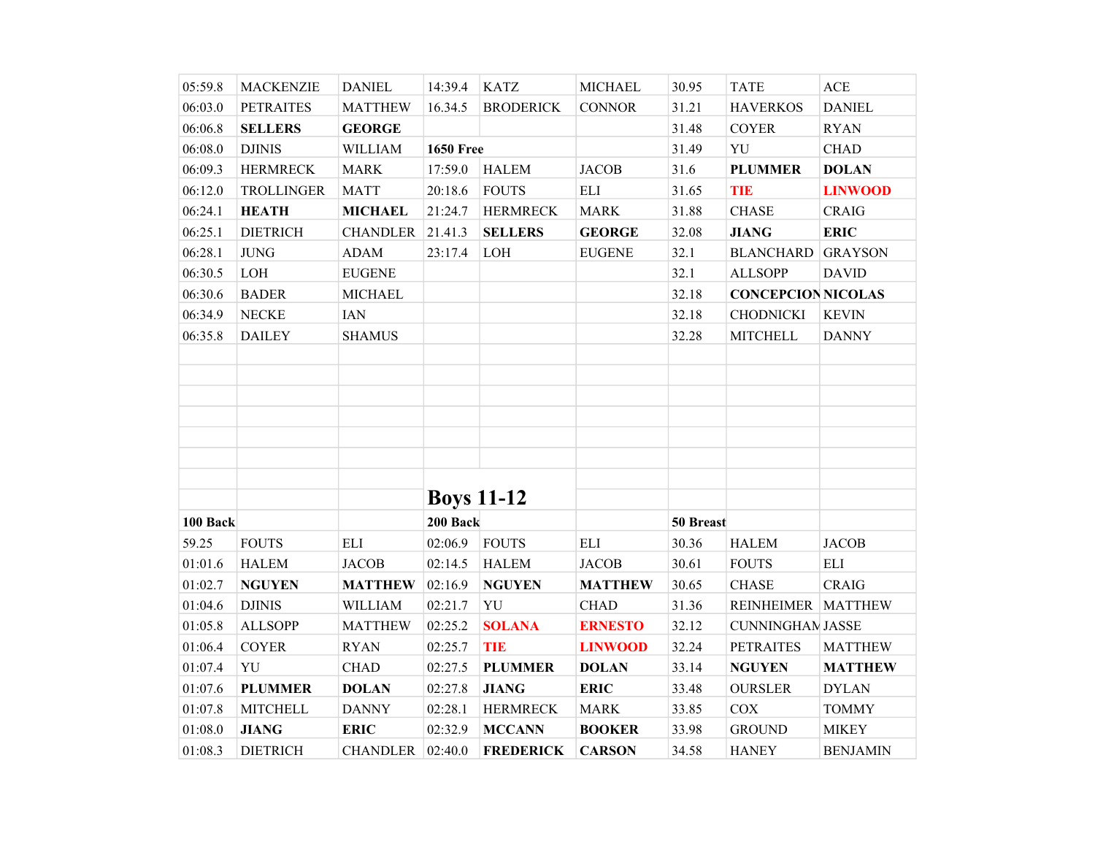| 05:59.8  | <b>MACKENZIE</b>  | <b>DANIEL</b>      | 14:39.4           | <b>KATZ</b>      | <b>MICHAEL</b> | 30.95     | <b>TATE</b>               | ACE                |
|----------|-------------------|--------------------|-------------------|------------------|----------------|-----------|---------------------------|--------------------|
| 06:03.0  | <b>PETRAITES</b>  | <b>MATTHEW</b>     | 16.34.5           | <b>BRODERICK</b> | <b>CONNOR</b>  | 31.21     | <b>HAVERKOS</b>           | <b>DANIEL</b>      |
| 06:06.8  | <b>SELLERS</b>    | <b>GEORGE</b>      |                   |                  |                | 31.48     | <b>COYER</b>              | <b>RYAN</b>        |
| 06:08.0  | <b>DJINIS</b>     | WILLIAM            | <b>1650 Free</b>  |                  |                | 31.49     | YU                        | <b>CHAD</b>        |
| 06:09.3  | <b>HERMRECK</b>   | <b>MARK</b>        | 17:59.0           | <b>HALEM</b>     | <b>JACOB</b>   | 31.6      | <b>PLUMMER</b>            | <b>DOLAN</b>       |
| 06:12.0  | <b>TROLLINGER</b> | <b>MATT</b>        | 20:18.6           | <b>FOUTS</b>     | <b>ELI</b>     | 31.65     | <b>TIE</b>                | <b>LINWOOD</b>     |
| 06:24.1  | <b>HEATH</b>      | <b>MICHAEL</b>     | 21:24.7           | <b>HERMRECK</b>  | <b>MARK</b>    | 31.88     | <b>CHASE</b>              | <b>CRAIG</b>       |
| 06:25.1  | <b>DIETRICH</b>   | <b>CHANDLER</b>    | 21.41.3           | <b>SELLERS</b>   | <b>GEORGE</b>  | 32.08     | <b>JIANG</b>              | <b>ERIC</b>        |
| 06:28.1  | $\rm JUNG$        | <b>ADAM</b>        | 23:17.4           | LOH              | <b>EUGENE</b>  | 32.1      | <b>BLANCHARD GRAYSON</b>  |                    |
| 06:30.5  | $\rm LOH$         | <b>EUGENE</b>      |                   |                  |                | 32.1      | <b>ALLSOPP</b>            | <b>DAVID</b>       |
| 06:30.6  | <b>BADER</b>      | <b>MICHAEL</b>     |                   |                  |                | 32.18     | <b>CONCEPCION NICOLAS</b> |                    |
| 06:34.9  | <b>NECKE</b>      | <b>IAN</b>         |                   |                  |                | 32.18     | <b>CHODNICKI</b>          | <b>KEVIN</b>       |
| 06:35.8  | <b>DAILEY</b>     | <b>SHAMUS</b>      |                   |                  |                | 32.28     | <b>MITCHELL</b>           | <b>DANNY</b>       |
|          |                   |                    |                   |                  |                |           |                           |                    |
|          |                   |                    |                   |                  |                |           |                           |                    |
|          |                   |                    |                   |                  |                |           |                           |                    |
|          |                   |                    |                   |                  |                |           |                           |                    |
|          |                   |                    |                   |                  |                |           |                           |                    |
|          |                   |                    |                   |                  |                |           |                           |                    |
|          |                   |                    |                   |                  |                |           |                           |                    |
|          |                   |                    | <b>Boys 11-12</b> |                  |                |           |                           |                    |
| 100 Back |                   |                    | 200 Back          |                  |                | 50 Breast |                           |                    |
| 59.25    | <b>FOUTS</b>      | <b>ELI</b>         | 02:06.9           | <b>FOUTS</b>     | <b>ELI</b>     | 30.36     | <b>HALEM</b>              | <b>JACOB</b>       |
| 01:01.6  | <b>HALEM</b>      | <b>JACOB</b>       | 02:14.5           | <b>HALEM</b>     | <b>JACOB</b>   | 30.61     | <b>FOUTS</b>              | $\mathop{\rm ELI}$ |
| 01:02.7  | <b>NGUYEN</b>     | <b>MATTHEW</b>     | 02:16.9           | <b>NGUYEN</b>    | <b>MATTHEW</b> | 30.65     | <b>CHASE</b>              | <b>CRAIG</b>       |
| 01:04.6  | <b>DJINIS</b>     | WILLIAM            | 02:21.7           | YU               | <b>CHAD</b>    | 31.36     | REINHEIMER   MATTHEW      |                    |
| 01:05.8  | <b>ALLSOPP</b>    | <b>MATTHEW</b>     | 02:25.2           | <b>SOLANA</b>    | <b>ERNESTO</b> | 32.12     | <b>CUNNINGHAN JASSE</b>   |                    |
| 01:06.4  | <b>COYER</b>      | <b>RYAN</b>        | 02:25.7           | <b>TIE</b>       | <b>LINWOOD</b> | 32.24     | <b>PETRAITES</b>          | <b>MATTHEW</b>     |
| 01:07.4  | YU                | <b>CHAD</b>        | 02:27.5           | <b>PLUMMER</b>   | <b>DOLAN</b>   | 33.14     | <b>NGUYEN</b>             | <b>MATTHEW</b>     |
| 01:07.6  | <b>PLUMMER</b>    | <b>DOLAN</b>       | 02:27.8           | <b>JIANG</b>     | <b>ERIC</b>    | 33.48     | <b>OURSLER</b>            | <b>DYLAN</b>       |
| 01:07.8  | <b>MITCHELL</b>   | <b>DANNY</b>       | 02:28.1           | <b>HERMRECK</b>  | <b>MARK</b>    | 33.85     | COX                       | <b>TOMMY</b>       |
| 01:08.0  | <b>JIANG</b>      | <b>ERIC</b>        | 02:32.9           | <b>MCCANN</b>    | <b>BOOKER</b>  | 33.98     | <b>GROUND</b>             | <b>MIKEY</b>       |
| 01:08.3  | <b>DIETRICH</b>   | CHANDLER   02:40.0 |                   | <b>FREDERICK</b> | <b>CARSON</b>  | 34.58     | <b>HANEY</b>              | <b>BENJAMIN</b>    |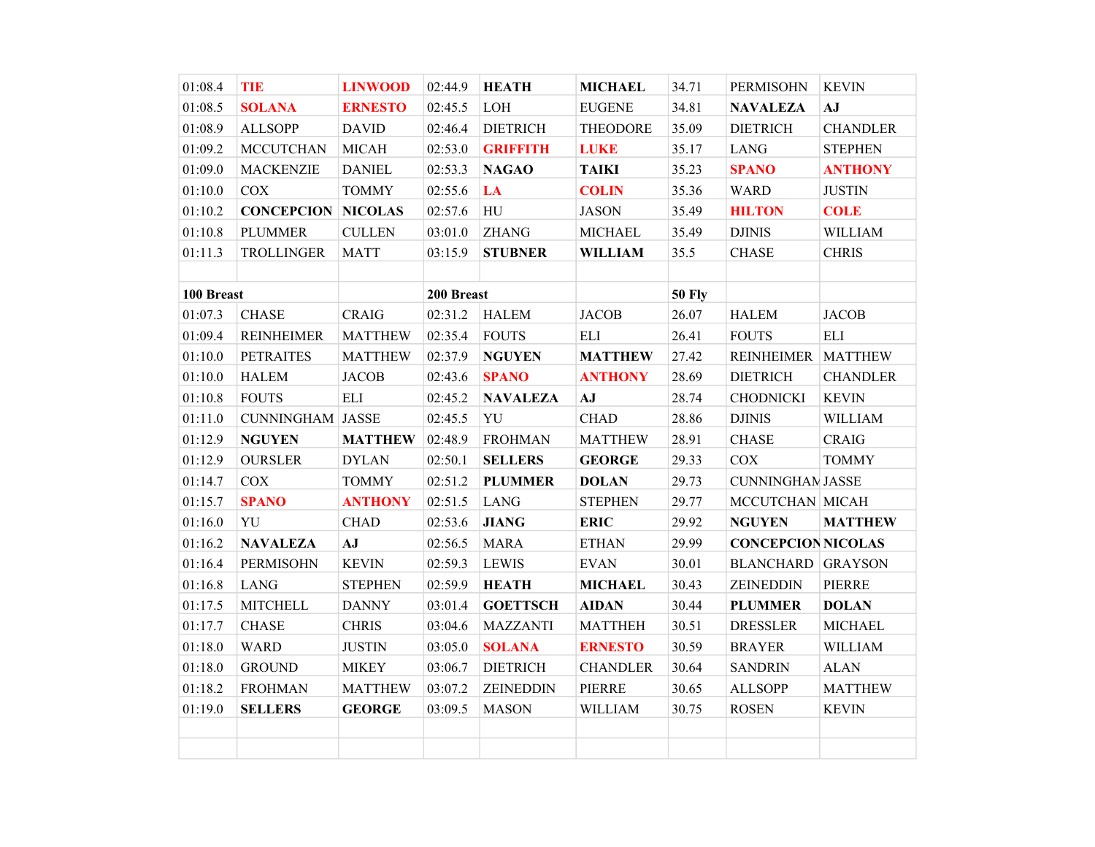| 01:08.4    | <b>TIE</b>              | <b>LINWOOD</b> | 02:44.9    | <b>HEATH</b>     | <b>MICHAEL</b>  | 34.71         | <b>PERMISOHN</b>          | <b>KEVIN</b>    |
|------------|-------------------------|----------------|------------|------------------|-----------------|---------------|---------------------------|-----------------|
| 01:08.5    | <b>SOLANA</b>           | <b>ERNESTO</b> | 02:45.5    | LOH              | <b>EUGENE</b>   | 34.81         | <b>NAVALEZA</b>           | AJ              |
| 01:08.9    | <b>ALLSOPP</b>          | <b>DAVID</b>   | 02:46.4    | <b>DIETRICH</b>  | <b>THEODORE</b> | 35.09         | <b>DIETRICH</b>           | <b>CHANDLER</b> |
| 01:09.2    | <b>MCCUTCHAN</b>        | <b>MICAH</b>   | 02:53.0    | <b>GRIFFITH</b>  | <b>LUKE</b>     | 35.17         | <b>LANG</b>               | <b>STEPHEN</b>  |
| 01:09.0    | <b>MACKENZIE</b>        | <b>DANIEL</b>  | 02:53.3    | <b>NAGAO</b>     | <b>TAIKI</b>    | 35.23         | <b>SPANO</b>              | <b>ANTHONY</b>  |
| 01:10.0    | COX                     | <b>TOMMY</b>   | 02:55.6    | LA               | <b>COLIN</b>    | 35.36         | <b>WARD</b>               | <b>JUSTIN</b>   |
| 01:10.2    | <b>CONCEPCION</b>       | <b>NICOLAS</b> | 02:57.6    | ${\rm H}{\rm U}$ | <b>JASON</b>    | 35.49         | <b>HILTON</b>             | <b>COLE</b>     |
| 01:10.8    | <b>PLUMMER</b>          | <b>CULLEN</b>  | 03:01.0    | <b>ZHANG</b>     | <b>MICHAEL</b>  | 35.49         | <b>DJINIS</b>             | <b>WILLIAM</b>  |
| 01:11.3    | <b>TROLLINGER</b>       | <b>MATT</b>    | 03:15.9    | <b>STUBNER</b>   | <b>WILLIAM</b>  | 35.5          | <b>CHASE</b>              | <b>CHRIS</b>    |
|            |                         |                |            |                  |                 |               |                           |                 |
| 100 Breast |                         |                | 200 Breast |                  |                 | <b>50 Fly</b> |                           |                 |
| 01:07.3    | <b>CHASE</b>            | <b>CRAIG</b>   | 02:31.2    | <b>HALEM</b>     | <b>JACOB</b>    | 26.07         | <b>HALEM</b>              | <b>JACOB</b>    |
| 01:09.4    | <b>REINHEIMER</b>       | <b>MATTHEW</b> | 02:35.4    | <b>FOUTS</b>     | <b>ELI</b>      | 26.41         | <b>FOUTS</b>              | ELI             |
| 01:10.0    | <b>PETRAITES</b>        | <b>MATTHEW</b> | 02:37.9    | <b>NGUYEN</b>    | <b>MATTHEW</b>  | 27.42         | REINHEIMER   MATTHEW      |                 |
| 01:10.0    | <b>HALEM</b>            | <b>JACOB</b>   | 02:43.6    | <b>SPANO</b>     | <b>ANTHONY</b>  | 28.69         | <b>DIETRICH</b>           | <b>CHANDLER</b> |
| 01:10.8    | <b>FOUTS</b>            | ELI            | 02:45.2    | <b>NAVALEZA</b>  | AJ              | 28.74         | <b>CHODNICKI</b>          | <b>KEVIN</b>    |
| 01:11.0    | <b>CUNNINGHAM JASSE</b> |                | 02:45.5    | YU               | <b>CHAD</b>     | 28.86         | <b>DJINIS</b>             | <b>WILLIAM</b>  |
| 01:12.9    | <b>NGUYEN</b>           | <b>MATTHEW</b> | 02:48.9    | <b>FROHMAN</b>   | <b>MATTHEW</b>  | 28.91         | <b>CHASE</b>              | <b>CRAIG</b>    |
| 01:12.9    | <b>OURSLER</b>          | <b>DYLAN</b>   | 02:50.1    | <b>SELLERS</b>   | <b>GEORGE</b>   | 29.33         | COX                       | <b>TOMMY</b>    |
| 01:14.7    | COX                     | <b>TOMMY</b>   | 02:51.2    | <b>PLUMMER</b>   | <b>DOLAN</b>    | 29.73         | <b>CUNNINGHAN JASSE</b>   |                 |
| 01:15.7    | <b>SPANO</b>            | <b>ANTHONY</b> | 02:51.5    | <b>LANG</b>      | <b>STEPHEN</b>  | 29.77         | MCCUTCHAN MICAH           |                 |
| 01:16.0    | YU                      | <b>CHAD</b>    | 02:53.6    | <b>JIANG</b>     | <b>ERIC</b>     | 29.92         | <b>NGUYEN</b>             | <b>MATTHEW</b>  |
| 01:16.2    | <b>NAVALEZA</b>         | $A$ $J$        | 02:56.5    | <b>MARA</b>      | <b>ETHAN</b>    | 29.99         | <b>CONCEPCION NICOLAS</b> |                 |
| 01:16.4    | <b>PERMISOHN</b>        | <b>KEVIN</b>   | 02:59.3    | <b>LEWIS</b>     | <b>EVAN</b>     | 30.01         | <b>BLANCHARD</b> GRAYSON  |                 |
| 01:16.8    | <b>LANG</b>             | <b>STEPHEN</b> | 02:59.9    | <b>HEATH</b>     | <b>MICHAEL</b>  | 30.43         | <b>ZEINEDDIN</b>          | PIERRE          |
| 01:17.5    | <b>MITCHELL</b>         | <b>DANNY</b>   | 03:01.4    | <b>GOETTSCH</b>  | <b>AIDAN</b>    | 30.44         | <b>PLUMMER</b>            | <b>DOLAN</b>    |
| 01:17.7    | <b>CHASE</b>            | <b>CHRIS</b>   | 03:04.6    | <b>MAZZANTI</b>  | <b>MATTHEH</b>  | 30.51         | <b>DRESSLER</b>           | <b>MICHAEL</b>  |
| 01:18.0    | <b>WARD</b>             | <b>JUSTIN</b>  | 03:05.0    | <b>SOLANA</b>    | <b>ERNESTO</b>  | 30.59         | <b>BRAYER</b>             | <b>WILLIAM</b>  |
| 01:18.0    | <b>GROUND</b>           | <b>MIKEY</b>   | 03:06.7    | <b>DIETRICH</b>  | <b>CHANDLER</b> | 30.64         | <b>SANDRIN</b>            | <b>ALAN</b>     |
| 01:18.2    | <b>FROHMAN</b>          | <b>MATTHEW</b> | 03:07.2    | <b>ZEINEDDIN</b> | PIERRE          | 30.65         | <b>ALLSOPP</b>            | <b>MATTHEW</b>  |
| 01:19.0    | <b>SELLERS</b>          | <b>GEORGE</b>  | 03:09.5    | <b>MASON</b>     | WILLIAM         | 30.75         | <b>ROSEN</b>              | <b>KEVIN</b>    |
|            |                         |                |            |                  |                 |               |                           |                 |
|            |                         |                |            |                  |                 |               |                           |                 |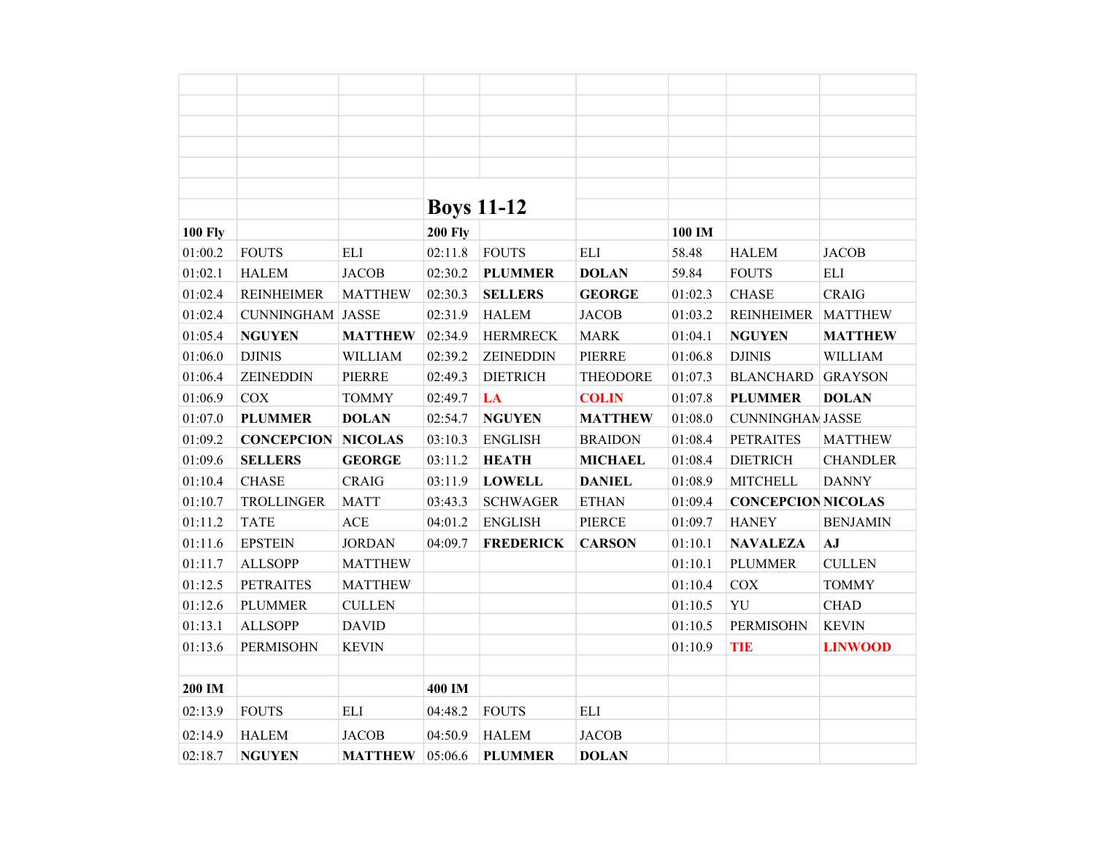|                |                         |                | <b>Boys 11-12</b> |                  |                 |         |                           |                 |
|----------------|-------------------------|----------------|-------------------|------------------|-----------------|---------|---------------------------|-----------------|
| <b>100 Fly</b> |                         |                | <b>200 Fly</b>    |                  |                 | 100 IM  |                           |                 |
| 01:00.2        | <b>FOUTS</b>            | <b>ELI</b>     | 02:11.8           | <b>FOUTS</b>     | <b>ELI</b>      | 58.48   | <b>HALEM</b>              | <b>JACOB</b>    |
| 01:02.1        | <b>HALEM</b>            | <b>JACOB</b>   | 02:30.2           | <b>PLUMMER</b>   | <b>DOLAN</b>    | 59.84   | <b>FOUTS</b>              | <b>ELI</b>      |
| 01:02.4        | <b>REINHEIMER</b>       | <b>MATTHEW</b> | 02:30.3           | <b>SELLERS</b>   | <b>GEORGE</b>   | 01:02.3 | <b>CHASE</b>              | <b>CRAIG</b>    |
| 01:02.4        | <b>CUNNINGHAM JASSE</b> |                | 02:31.9           | <b>HALEM</b>     | <b>JACOB</b>    | 01:03.2 | <b>REINHEIMER</b>         | <b>MATTHEW</b>  |
| 01:05.4        | <b>NGUYEN</b>           | <b>MATTHEW</b> | 02:34.9           | <b>HERMRECK</b>  | <b>MARK</b>     | 01:04.1 | <b>NGUYEN</b>             | <b>MATTHEW</b>  |
| 01:06.0        | <b>DJINIS</b>           | WILLIAM        | 02:39.2           | ZEINEDDIN        | <b>PIERRE</b>   | 01:06.8 | <b>DJINIS</b>             | <b>WILLIAM</b>  |
| 01:06.4        | ZEINEDDIN               | <b>PIERRE</b>  | 02:49.3           | <b>DIETRICH</b>  | <b>THEODORE</b> | 01:07.3 | <b>BLANCHARD</b>          | <b>GRAYSON</b>  |
| 01:06.9        | <b>COX</b>              | <b>TOMMY</b>   | 02:49.7           | LA               | <b>COLIN</b>    | 01:07.8 | <b>PLUMMER</b>            | <b>DOLAN</b>    |
| 01:07.0        | <b>PLUMMER</b>          | <b>DOLAN</b>   | 02:54.7           | <b>NGUYEN</b>    | <b>MATTHEW</b>  | 01:08.0 | <b>CUNNINGHAN JASSE</b>   |                 |
| 01:09.2        | <b>CONCEPCION</b>       | <b>NICOLAS</b> | 03:10.3           | <b>ENGLISH</b>   | <b>BRAIDON</b>  | 01:08.4 | <b>PETRAITES</b>          | <b>MATTHEW</b>  |
| 01:09.6        | <b>SELLERS</b>          | <b>GEORGE</b>  | 03:11.2           | <b>HEATH</b>     | <b>MICHAEL</b>  | 01:08.4 | <b>DIETRICH</b>           | <b>CHANDLER</b> |
| 01:10.4        | <b>CHASE</b>            | <b>CRAIG</b>   | 03:11.9           | <b>LOWELL</b>    | <b>DANIEL</b>   | 01:08.9 | <b>MITCHELL</b>           | <b>DANNY</b>    |
| 01:10.7        | <b>TROLLINGER</b>       | <b>MATT</b>    | 03:43.3           | <b>SCHWAGER</b>  | <b>ETHAN</b>    | 01:09.4 | <b>CONCEPCION NICOLAS</b> |                 |
| 01:11.2        | <b>TATE</b>             | <b>ACE</b>     | 04:01.2           | <b>ENGLISH</b>   | <b>PIERCE</b>   | 01:09.7 | <b>HANEY</b>              | <b>BENJAMIN</b> |
| 01:11.6        | <b>EPSTEIN</b>          | <b>JORDAN</b>  | 04:09.7           | <b>FREDERICK</b> | <b>CARSON</b>   | 01:10.1 | <b>NAVALEZA</b>           | AJ              |
| 01:11.7        | <b>ALLSOPP</b>          | <b>MATTHEW</b> |                   |                  |                 | 01:10.1 | <b>PLUMMER</b>            | <b>CULLEN</b>   |
| 01:12.5        | <b>PETRAITES</b>        | <b>MATTHEW</b> |                   |                  |                 | 01:10.4 | COX                       | <b>TOMMY</b>    |
| 01:12.6        | <b>PLUMMER</b>          | <b>CULLEN</b>  |                   |                  |                 | 01:10.5 | YU                        | <b>CHAD</b>     |
| 01:13.1        | <b>ALLSOPP</b>          | <b>DAVID</b>   |                   |                  |                 | 01:10.5 | <b>PERMISOHN</b>          | <b>KEVIN</b>    |
| 01:13.6        | <b>PERMISOHN</b>        | <b>KEVIN</b>   |                   |                  |                 | 01:10.9 | <b>TIE</b>                | <b>LINWOOD</b>  |
|                |                         |                |                   |                  |                 |         |                           |                 |
| 200 IM         |                         |                | 400 IM            |                  |                 |         |                           |                 |
| 02:13.9        | <b>FOUTS</b>            | <b>ELI</b>     | 04:48.2           | <b>FOUTS</b>     | <b>ELI</b>      |         |                           |                 |
| 02:14.9        | <b>HALEM</b>            | <b>JACOB</b>   | 04:50.9           | <b>HALEM</b>     | <b>JACOB</b>    |         |                           |                 |
| 02:18.7        | <b>NGUYEN</b>           | <b>MATTHEW</b> | 05:06.6           | <b>PLUMMER</b>   | <b>DOLAN</b>    |         |                           |                 |